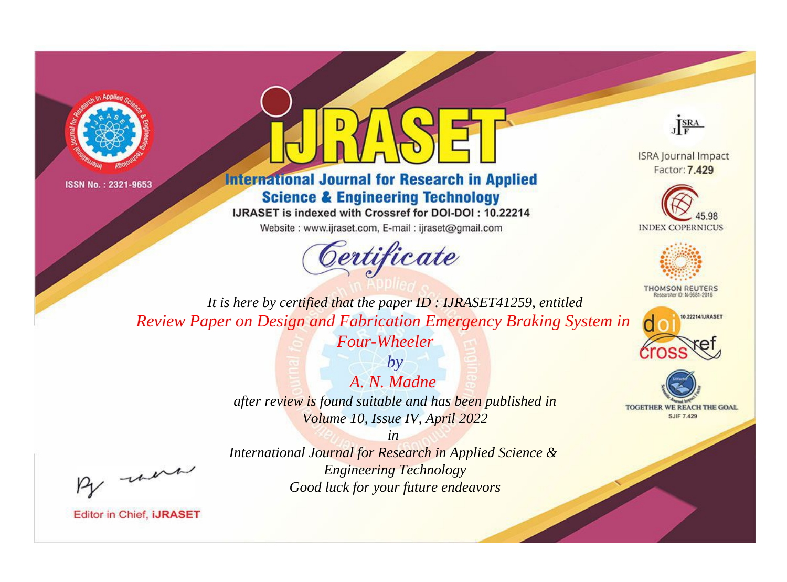



# **International Journal for Research in Applied Science & Engineering Technology**

IJRASET is indexed with Crossref for DOI-DOI: 10.22214

Website: www.ijraset.com, E-mail: ijraset@gmail.com



JERA

**ISRA Journal Impact** Factor: 7.429





**THOMSON REUTERS** 



TOGETHER WE REACH THE GOAL **SJIF 7.429** 

It is here by certified that the paper ID: IJRASET41259, entitled Review Paper on Design and Fabrication Emergency Braking System in Four-Wheeler

> $b\nu$ A. N. Madne after review is found suitable and has been published in Volume 10, Issue IV, April 2022

were

International Journal for Research in Applied Science & **Engineering Technology** Good luck for your future endeavors

 $in$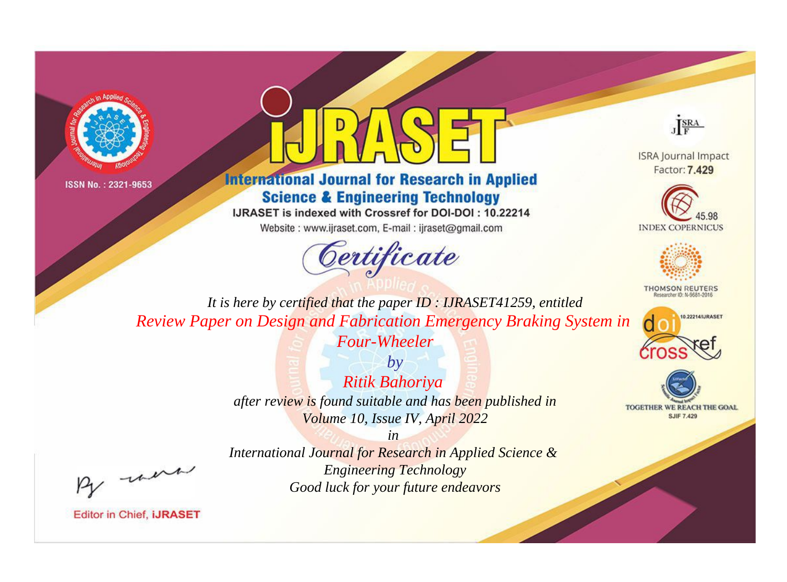



# **International Journal for Research in Applied Science & Engineering Technology**

IJRASET is indexed with Crossref for DOI-DOI: 10.22214

Website: www.ijraset.com, E-mail: ijraset@gmail.com





**ISRA Journal Impact** Factor: 7.429





**THOMSON REUTERS** 



TOGETHER WE REACH THE GOAL **SJIF 7.429** 

It is here by certified that the paper ID: IJRASET41259, entitled Review Paper on Design and Fabrication Emergency Braking System in Four-Wheeler

> $by$ Ritik Bahoriya after review is found suitable and has been published in Volume 10, Issue IV, April 2022

 $in$ International Journal for Research in Applied Science & **Engineering Technology** Good luck for your future endeavors

were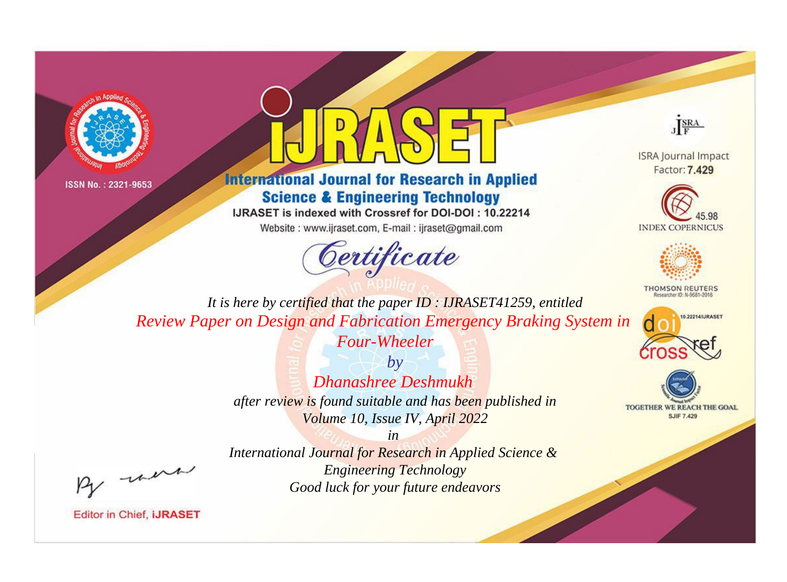



# **International Journal for Research in Applied Science & Engineering Technology**

IJRASET is indexed with Crossref for DOI-DOI: 10.22214

Website: www.ijraset.com, E-mail: ijraset@gmail.com





**ISRA Journal Impact** Factor: 7.429





**THOMSON REUTERS** 



TOGETHER WE REACH THE GOAL **SJIF 7.429** 

*It is here by certified that the paper ID : IJRASET41259, entitled Review Paper on Design and Fabrication Emergency Braking System in Four-Wheeler*

> *by Dhanashree Deshmukh after review is found suitable and has been published in Volume 10, Issue IV, April 2022*

, were

*International Journal for Research in Applied Science & Engineering Technology Good luck for your future endeavors*

*in*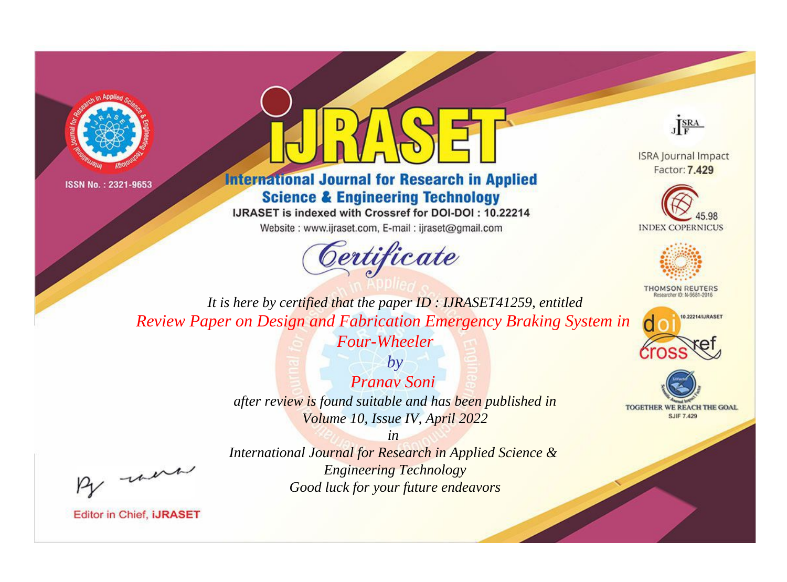



# **International Journal for Research in Applied Science & Engineering Technology**

IJRASET is indexed with Crossref for DOI-DOI: 10.22214

Website: www.ijraset.com, E-mail: ijraset@gmail.com



JERA

**ISRA Journal Impact** Factor: 7.429





**THOMSON REUTERS** 



TOGETHER WE REACH THE GOAL **SJIF 7.429** 

*It is here by certified that the paper ID : IJRASET41259, entitled Review Paper on Design and Fabrication Emergency Braking System in* 

*Four-Wheeler by*

*Pranav Soni after review is found suitable and has been published in Volume 10, Issue IV, April 2022*

*in* 

*International Journal for Research in Applied Science & Engineering Technology Good luck for your future endeavors*

, un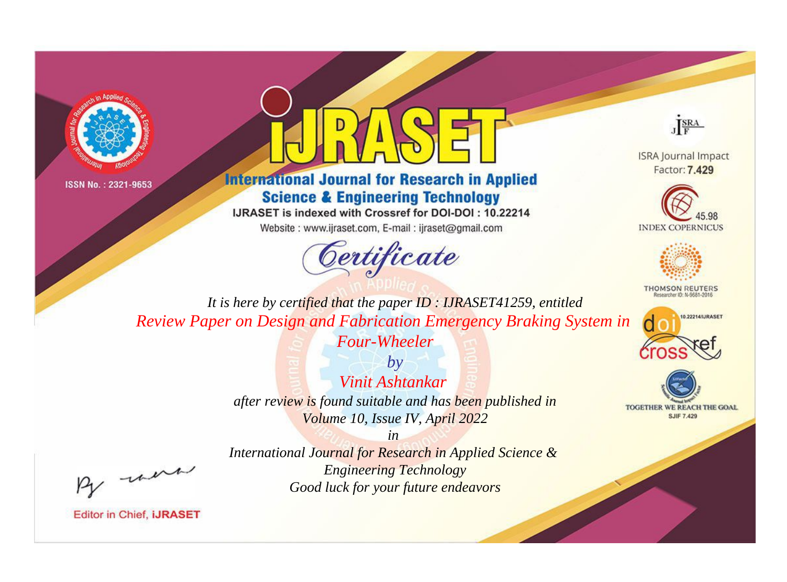



# **International Journal for Research in Applied Science & Engineering Technology**

IJRASET is indexed with Crossref for DOI-DOI: 10.22214

Website: www.ijraset.com, E-mail: ijraset@gmail.com



JERA

**ISRA Journal Impact** Factor: 7.429





**THOMSON REUTERS** 



TOGETHER WE REACH THE GOAL **SJIF 7.429** 

It is here by certified that the paper ID: IJRASET41259, entitled Review Paper on Design and Fabrication Emergency Braking System in Four-Wheeler

> $by$ Vinit Ashtankar after review is found suitable and has been published in Volume 10, Issue IV, April 2022

were

International Journal for Research in Applied Science & **Engineering Technology** Good luck for your future endeavors

 $in$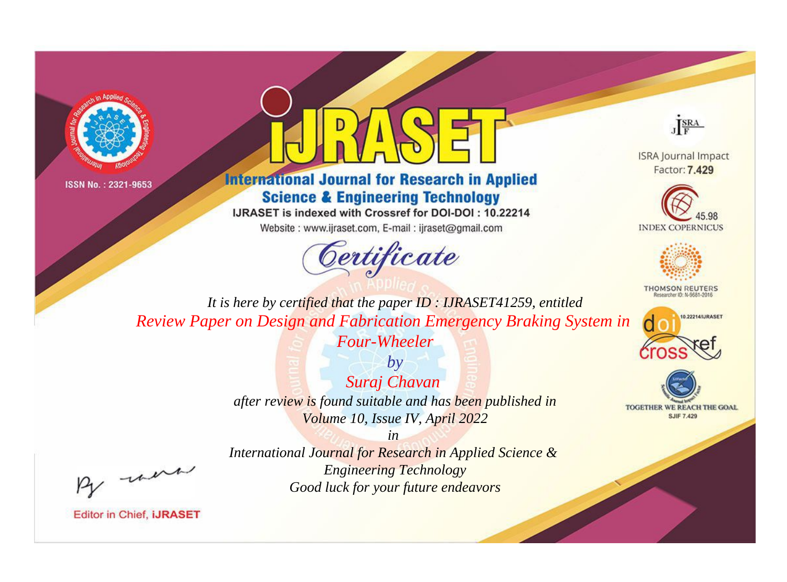



# **International Journal for Research in Applied Science & Engineering Technology**

IJRASET is indexed with Crossref for DOI-DOI: 10.22214

Website: www.ijraset.com, E-mail: ijraset@gmail.com



JERA

**ISRA Journal Impact** Factor: 7.429





**THOMSON REUTERS** 



TOGETHER WE REACH THE GOAL **SJIF 7.429** 

It is here by certified that the paper ID: IJRASET41259, entitled Review Paper on Design and Fabrication Emergency Braking System in **Four-Wheeler** 

> $by$ Suraj Chavan after review is found suitable and has been published in Volume 10, Issue IV, April 2022

were

International Journal for Research in Applied Science & **Engineering Technology** Good luck for your future endeavors

 $in$